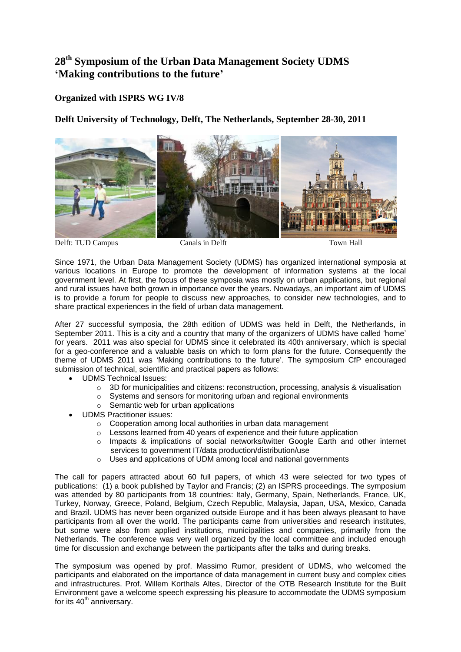## **28th Symposium of the Urban Data Management Society UDMS 'Making contributions to the future'**

## **Organized with ISPRS WG IV/8**

**Delft University of Technology, Delft, The Netherlands, September 28-30, 2011**



Delft: TUD Campus Canals in Delft Town Hall

Since 1971, the Urban Data Management Society (UDMS) has organized international symposia at various locations in Europe to promote the development of information systems at the local government level. At first, the focus of these symposia was mostly on urban applications, but regional and rural issues have both grown in importance over the years. Nowadays, an important aim of UDMS is to provide a forum for people to discuss new approaches, to consider new technologies, and to share practical experiences in the field of urban data management.

After 27 successful symposia, the 28th edition of UDMS was held in Delft, the Netherlands, in September 2011. This is a city and a country that many of the organizers of UDMS have called 'home' for years. 2011 was also special for UDMS since it celebrated its 40th anniversary, which is special for a geo-conference and a valuable basis on which to form plans for the future. Consequently the theme of UDMS 2011 was 'Making contributions to the future'. The symposium CfP encouraged submission of technical, scientific and practical papers as follows:

- UDMS Technical Issues:
	- o 3D for municipalities and citizens: reconstruction, processing, analysis & visualisation
	- o Systems and sensors for monitoring urban and regional environments
	- o Semantic web for urban applications
- UDMS Practitioner issues:
	- o Cooperation among local authorities in urban data management
	- o Lessons learned from 40 years of experience and their future application
	- o Impacts & implications of social networks/twitter Google Earth and other internet services to government IT/data production/distribution/use
	- o Uses and applications of UDM among local and national governments

The call for papers attracted about 60 full papers, of which 43 were selected for two types of publications: (1) a book published by Taylor and Francis; (2) an ISPRS proceedings. The symposium was attended by 80 participants from 18 countries: Italy, Germany, Spain, Netherlands, France, UK, Turkey, Norway, Greece, Poland, Belgium, Czech Republic, Malaysia, Japan, USA, Mexico, Canada and Brazil. UDMS has never been organized outside Europe and it has been always pleasant to have participants from all over the world. The participants came from universities and research institutes, but some were also from applied institutions, municipalities and companies, primarily from the Netherlands. The conference was very well organized by the local committee and included enough time for discussion and exchange between the participants after the talks and during breaks.

The symposium was opened by prof. Massimo Rumor, president of UDMS, who welcomed the participants and elaborated on the importance of data management in current busy and complex cities and infrastructures. Prof. Willem Korthals Altes, Director of the OTB Research Institute for the Built Environment gave a welcome speech expressing his pleasure to accommodate the UDMS symposium for its  $40<sup>th</sup>$  anniversary.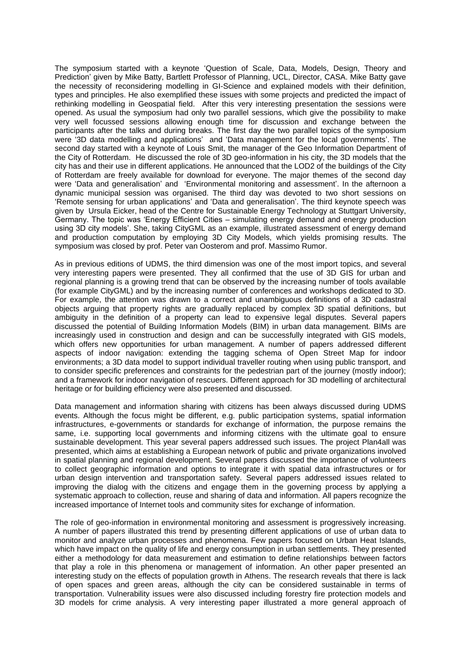The symposium started with a keynote 'Question of Scale, Data, Models, Design, Theory and Prediction' given by Mike Batty, Bartlett Professor of Planning, UCL, Director, CASA. Mike Batty gave the necessity of reconsidering modelling in GI-Science and explained models with their definition, types and principles. He also exemplified these issues with some projects and predicted the impact of rethinking modelling in Geospatial field. After this very interesting presentation the sessions were opened. As usual the symposium had only two parallel sessions, which give the possibility to make very well focussed sessions allowing enough time for discussion and exchange between the participants after the talks and during breaks. The first day the two parallel topics of the symposium were '3D data modelling and applications' and 'Data management for the local governments'. The second day started with a keynote of Louis Smit, the manager of the Geo Information Department of the City of Rotterdam. He discussed the role of 3D geo-information in his city, the 3D models that the city has and their use in different applications. He announced that the LOD2 of the buildings of the City of Rotterdam are freely available for download for everyone. The major themes of the second day were 'Data and generalisation' and 'Environmental monitoring and assessment'. In the afternoon a dynamic municipal session was organised. The third day was devoted to two short sessions on 'Remote sensing for urban applications' and 'Data and generalisation'. The third keynote speech was given by Ursula Eicker, head of the Centre for Sustainable Energy Technology at Stuttgart University, Germany. The topic was 'Energy Efficient Cities – simulating energy demand and energy production using 3D city models'. She, taking CityGML as an example, illustrated assessment of energy demand and production computation by employing 3D City Models, which yields promising results. The symposium was closed by prof. Peter van Oosterom and prof. Massimo Rumor.

As in previous editions of UDMS, the third dimension was one of the most import topics, and several very interesting papers were presented. They all confirmed that the use of 3D GIS for urban and regional planning is a growing trend that can be observed by the increasing number of tools available (for example CityGML) and by the increasing number of conferences and workshops dedicated to 3D. For example, the attention was drawn to a correct and unambiguous definitions of a 3D cadastral objects arguing that property rights are gradually replaced by complex 3D spatial definitions, but ambiguity in the definition of a property can lead to expensive legal disputes. Several papers discussed the potential of Building Information Models (BIM) in urban data management. BIMs are increasingly used in construction and design and can be successfully integrated with GIS models, which offers new opportunities for urban management. A number of papers addressed different aspects of indoor navigation: extending the tagging schema of Open Street Map for indoor environments; a 3D data model to support individual traveller routing when using public transport, and to consider specific preferences and constraints for the pedestrian part of the journey (mostly indoor); and a framework for indoor navigation of rescuers. Different approach for 3D modelling of architectural heritage or for building efficiency were also presented and discussed.

Data management and information sharing with citizens has been always discussed during UDMS events. Although the focus might be different, e.g. public participation systems, spatial information infrastructures, e-governments or standards for exchange of information, the purpose remains the same, i.e. supporting local governments and informing citizens with the ultimate goal to ensure sustainable development. This year several papers addressed such issues. The project Plan4all was presented, which aims at establishing a European network of public and private organizations involved in spatial planning and regional development. Several papers discussed the importance of volunteers to collect geographic information and options to integrate it with spatial data infrastructures or for urban design intervention and transportation safety. Several papers addressed issues related to improving the dialog with the citizens and engage them in the governing process by applying a systematic approach to collection, reuse and sharing of data and information. All papers recognize the increased importance of Internet tools and community sites for exchange of information.

The role of geo-information in environmental monitoring and assessment is progressively increasing. A number of papers illustrated this trend by presenting different applications of use of urban data to monitor and analyze urban processes and phenomena. Few papers focused on Urban Heat Islands, which have impact on the quality of life and energy consumption in urban settlements. They presented either a methodology for data measurement and estimation to define relationships between factors that play a role in this phenomena or management of information. An other paper presented an interesting study on the effects of population growth in Athens. The research reveals that there is lack of open spaces and green areas, although the city can be considered sustainable in terms of transportation. Vulnerability issues were also discussed including forestry fire protection models and 3D models for crime analysis. A very interesting paper illustrated a more general approach of